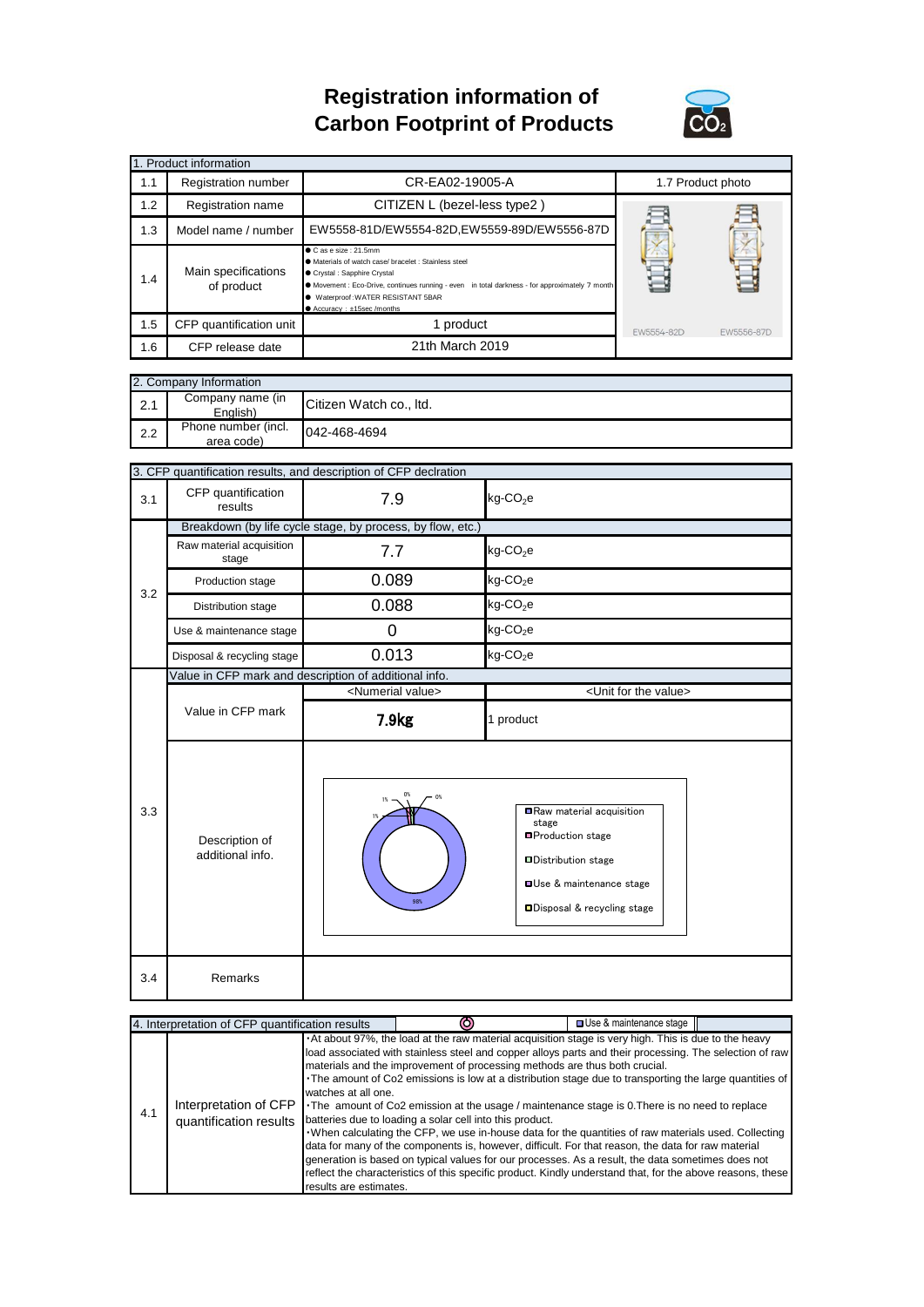## **Registration information of Carbon Footprint of Products**



| 1. Product information |                                   |                                                                                                                                                                                                                                                                                            |                   |            |  |  |
|------------------------|-----------------------------------|--------------------------------------------------------------------------------------------------------------------------------------------------------------------------------------------------------------------------------------------------------------------------------------------|-------------------|------------|--|--|
| 1.1                    | Registration number               | CR-EA02-19005-A                                                                                                                                                                                                                                                                            | 1.7 Product photo |            |  |  |
| 1.2                    | Registration name                 | CITIZEN L (bezel-less type2)                                                                                                                                                                                                                                                               |                   |            |  |  |
| 1.3                    | Model name / number               | EW5558-81D/EW5554-82D,EW5559-89D/EW5556-87D                                                                                                                                                                                                                                                |                   |            |  |  |
| 1.4                    | Main specifications<br>of product | $\bullet$ C as e size : 21.5mm<br>• Materials of watch case/ bracelet : Stainless steel<br>Crystal : Sapphire Crystal<br>• Movement : Eco-Drive, continues running - even in total darkness - for approximately 7 month<br>● Waterproof: WATER RESISTANT 5BAR<br>● Accuracy: ±15sec/months |                   |            |  |  |
| 1.5                    | CFP quantification unit           | 1 product                                                                                                                                                                                                                                                                                  | EW5554-82D        | FW5556-87D |  |  |
| 1.6                    | CFP release date                  | 21th March 2019                                                                                                                                                                                                                                                                            |                   |            |  |  |

|     | 2. Company Information            |                         |  |  |  |
|-----|-----------------------------------|-------------------------|--|--|--|
| 2.1 | Company name (in<br>Enalish)      | Citizen Watch co., Itd. |  |  |  |
| 2.2 | Phone number (incl.<br>area code) | 042-468-4694            |  |  |  |

|     | 3. CFP quantification results, and description of CFP declration |                                                       |                                                                                                                                                           |  |  |
|-----|------------------------------------------------------------------|-------------------------------------------------------|-----------------------------------------------------------------------------------------------------------------------------------------------------------|--|--|
| 3.1 | CFP quantification<br>results                                    | 7.9                                                   | $kg$ -CO <sub>2</sub> e                                                                                                                                   |  |  |
|     | Breakdown (by life cycle stage, by process, by flow, etc.)       |                                                       |                                                                                                                                                           |  |  |
|     | Raw material acquisition<br>stage                                | 7.7                                                   | $kg$ -CO <sub>2</sub> e                                                                                                                                   |  |  |
| 3.2 | Production stage                                                 | 0.089                                                 | $kg$ -CO <sub>2</sub> e                                                                                                                                   |  |  |
|     | Distribution stage                                               | 0.088                                                 | $kg$ -CO <sub>2</sub> e                                                                                                                                   |  |  |
|     | Use & maintenance stage                                          | 0                                                     | $kg$ -CO <sub>2</sub> e                                                                                                                                   |  |  |
|     | Disposal & recycling stage                                       | 0.013                                                 | $kg$ -CO <sub>2</sub> e                                                                                                                                   |  |  |
|     |                                                                  | Value in CFP mark and description of additional info. |                                                                                                                                                           |  |  |
|     |                                                                  | <numerial value=""></numerial>                        | <unit for="" the="" value=""></unit>                                                                                                                      |  |  |
|     | Value in CFP mark                                                | 7.9 <sub>kg</sub>                                     | 1 product                                                                                                                                                 |  |  |
| 3.3 | Description of<br>additional info.                               | 0%<br>O%<br>98%                                       | Raw material acquisition<br>stage<br>■Production stage<br><b>Distribution stage</b><br><b>OUse &amp; maintenance stage</b><br>□Disposal & recycling stage |  |  |
| 3.4 | Remarks                                                          |                                                       |                                                                                                                                                           |  |  |

|     | 4. Interpretation of CFP quantification results |                                               |                                                                                                                                                                                                                                                                                                                                                                                                                                                                                                                                                                                                                                                                                                                                                                                                                                                                                                                                                                                                         | □ Use & maintenance stage |  |
|-----|-------------------------------------------------|-----------------------------------------------|---------------------------------------------------------------------------------------------------------------------------------------------------------------------------------------------------------------------------------------------------------------------------------------------------------------------------------------------------------------------------------------------------------------------------------------------------------------------------------------------------------------------------------------------------------------------------------------------------------------------------------------------------------------------------------------------------------------------------------------------------------------------------------------------------------------------------------------------------------------------------------------------------------------------------------------------------------------------------------------------------------|---------------------------|--|
| 4.1 | Interpretation of CFP<br>quantification results | watches at all one.<br>results are estimates. | . At about 97%, the load at the raw material acquisition stage is very high. This is due to the heavy<br>load associated with stainless steel and copper alloys parts and their processing. The selection of raw<br>materials and the improvement of processing methods are thus both crucial.<br>The amount of Co2 emissions is low at a distribution stage due to transporting the large quantities of<br>The amount of Co2 emission at the usage / maintenance stage is 0. There is no need to replace<br>batteries due to loading a solar cell into this product.<br>. When calculating the CFP, we use in-house data for the quantities of raw materials used. Collecting<br>data for many of the components is, however, difficult. For that reason, the data for raw material<br>generation is based on typical values for our processes. As a result, the data sometimes does not<br>reflect the characteristics of this specific product. Kindly understand that, for the above reasons, these |                           |  |